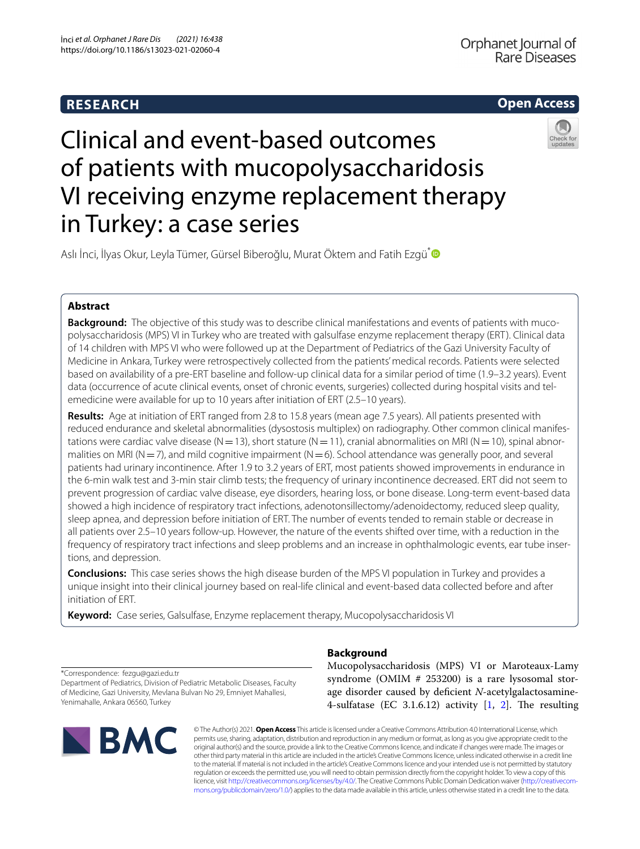# **RESEARCH**





# Clinical and event-based outcomes of patients with mucopolysaccharidosis VI receiving enzyme replacement therapy in Turkey: a case series

Aslı İnci, İlyas Okur, Leyla Tümer, Gürsel Biberoğlu, Murat Öktem and Fatih Ezgü[\\*](http://orcid.org/0000-0001-9497-3118)

# **Abstract**

**Background:** The objective of this study was to describe clinical manifestations and events of patients with mucopolysaccharidosis (MPS) VI in Turkey who are treated with galsulfase enzyme replacement therapy (ERT). Clinical data of 14 children with MPS VI who were followed up at the Department of Pediatrics of the Gazi University Faculty of Medicine in Ankara, Turkey were retrospectively collected from the patients' medical records. Patients were selected based on availability of a pre-ERT baseline and follow-up clinical data for a similar period of time (1.9–3.2 years). Event data (occurrence of acute clinical events, onset of chronic events, surgeries) collected during hospital visits and telemedicine were available for up to 10 years after initiation of ERT (2.5–10 years).

**Results:** Age at initiation of ERT ranged from 2.8 to 15.8 years (mean age 7.5 years). All patients presented with reduced endurance and skeletal abnormalities (dysostosis multiplex) on radiography. Other common clinical manifestations were cardiac valve disease (N=13), short stature (N=11), cranial abnormalities on MRI (N=10), spinal abnormalities on MRI (N=7), and mild cognitive impairment (N=6). School attendance was generally poor, and several patients had urinary incontinence. After 1.9 to 3.2 years of ERT, most patients showed improvements in endurance in the 6-min walk test and 3-min stair climb tests; the frequency of urinary incontinence decreased. ERT did not seem to prevent progression of cardiac valve disease, eye disorders, hearing loss, or bone disease. Long-term event-based data showed a high incidence of respiratory tract infections, adenotonsillectomy/adenoidectomy, reduced sleep quality, sleep apnea, and depression before initiation of ERT. The number of events tended to remain stable or decrease in all patients over 2.5–10 years follow-up. However, the nature of the events shifted over time, with a reduction in the frequency of respiratory tract infections and sleep problems and an increase in ophthalmologic events, ear tube insertions, and depression.

**Conclusions:** This case series shows the high disease burden of the MPS VI population in Turkey and provides a unique insight into their clinical journey based on real-life clinical and event-based data collected before and after initiation of ERT.

**Keyword:** Case series, Galsulfase, Enzyme replacement therapy, Mucopolysaccharidosis VI

\*Correspondence: fezgu@gazi.edu.tr Department of Pediatrics, Division of Pediatric Metabolic Diseases, Faculty of Medicine, Gazi University, Mevlana Bulvarı No 29, Emniyet Mahallesi, Yenimahalle, Ankara 06560, Turkey



# **Background**

Mucopolysaccharidosis (MPS) VI or Maroteaux-Lamy syndrome (OMIM # 253200) is a rare lysosomal storage disorder caused by defcient *N*-acetylgalactosamine-4-sulfatase (EC 3.1.6.12) activity  $[1, 2]$  $[1, 2]$  $[1, 2]$ . The resulting

© The Author(s) 2021. **Open Access** This article is licensed under a Creative Commons Attribution 4.0 International License, which permits use, sharing, adaptation, distribution and reproduction in any medium or format, as long as you give appropriate credit to the original author(s) and the source, provide a link to the Creative Commons licence, and indicate if changes were made. The images or other third party material in this article are included in the article's Creative Commons licence, unless indicated otherwise in a credit line to the material. If material is not included in the article's Creative Commons licence and your intended use is not permitted by statutory regulation or exceeds the permitted use, you will need to obtain permission directly from the copyright holder. To view a copy of this licence, visit [http://creativecommons.org/licenses/by/4.0/.](http://creativecommons.org/licenses/by/4.0/) The Creative Commons Public Domain Dedication waiver ([http://creativecom](http://creativecommons.org/publicdomain/zero/1.0/)[mons.org/publicdomain/zero/1.0/\)](http://creativecommons.org/publicdomain/zero/1.0/) applies to the data made available in this article, unless otherwise stated in a credit line to the data.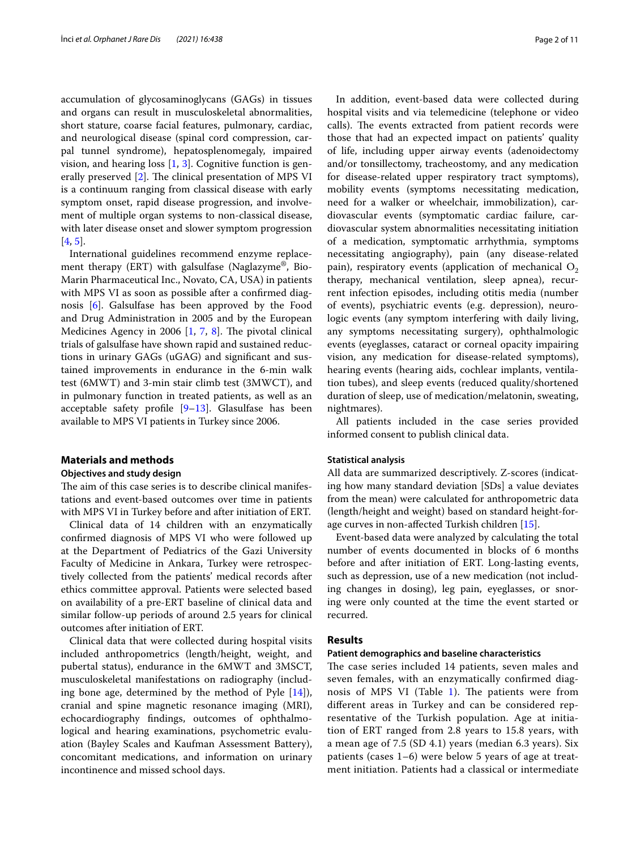accumulation of glycosaminoglycans (GAGs) in tissues and organs can result in musculoskeletal abnormalities, short stature, coarse facial features, pulmonary, cardiac, and neurological disease (spinal cord compression, carpal tunnel syndrome), hepatosplenomegaly, impaired vision, and hearing loss [[1](#page-9-0), [3](#page-9-2)]. Cognitive function is generally preserved  $[2]$  $[2]$ . The clinical presentation of MPS VI is a continuum ranging from classical disease with early symptom onset, rapid disease progression, and involvement of multiple organ systems to non-classical disease, with later disease onset and slower symptom progression [[4,](#page-9-3) [5](#page-9-4)].

International guidelines recommend enzyme replacement therapy (ERT) with galsulfase (Naglazyme®, Bio-Marin Pharmaceutical Inc., Novato, CA, USA) in patients with MPS VI as soon as possible after a confrmed diagnosis [\[6](#page-9-5)]. Galsulfase has been approved by the Food and Drug Administration in 2005 and by the European Medicines Agency in 2006  $[1, 7, 8]$  $[1, 7, 8]$  $[1, 7, 8]$  $[1, 7, 8]$  $[1, 7, 8]$ . The pivotal clinical trials of galsulfase have shown rapid and sustained reductions in urinary GAGs (uGAG) and signifcant and sustained improvements in endurance in the 6-min walk test (6MWT) and 3-min stair climb test (3MWCT), and in pulmonary function in treated patients, as well as an acceptable safety profile  $[9-13]$  $[9-13]$  $[9-13]$ . Glasulfase has been available to MPS VI patients in Turkey since 2006.

# **Materials and methods**

#### **Objectives and study design**

The aim of this case series is to describe clinical manifestations and event-based outcomes over time in patients with MPS VI in Turkey before and after initiation of ERT.

Clinical data of 14 children with an enzymatically confrmed diagnosis of MPS VI who were followed up at the Department of Pediatrics of the Gazi University Faculty of Medicine in Ankara, Turkey were retrospectively collected from the patients' medical records after ethics committee approval. Patients were selected based on availability of a pre-ERT baseline of clinical data and similar follow-up periods of around 2.5 years for clinical outcomes after initiation of ERT.

Clinical data that were collected during hospital visits included anthropometrics (length/height, weight, and pubertal status), endurance in the 6MWT and 3MSCT, musculoskeletal manifestations on radiography (including bone age, determined by the method of Pyle [\[14\]](#page-9-10)), cranial and spine magnetic resonance imaging (MRI), echocardiography fndings, outcomes of ophthalmological and hearing examinations, psychometric evaluation (Bayley Scales and Kaufman Assessment Battery), concomitant medications, and information on urinary incontinence and missed school days.

In addition, event-based data were collected during hospital visits and via telemedicine (telephone or video calls). The events extracted from patient records were those that had an expected impact on patients' quality of life, including upper airway events (adenoidectomy and/or tonsillectomy, tracheostomy, and any medication for disease-related upper respiratory tract symptoms), mobility events (symptoms necessitating medication, need for a walker or wheelchair, immobilization), cardiovascular events (symptomatic cardiac failure, cardiovascular system abnormalities necessitating initiation of a medication, symptomatic arrhythmia, symptoms necessitating angiography), pain (any disease-related pain), respiratory events (application of mechanical  $O_2$ therapy, mechanical ventilation, sleep apnea), recurrent infection episodes, including otitis media (number of events), psychiatric events (e.g. depression), neurologic events (any symptom interfering with daily living, any symptoms necessitating surgery), ophthalmologic events (eyeglasses, cataract or corneal opacity impairing vision, any medication for disease-related symptoms), hearing events (hearing aids, cochlear implants, ventilation tubes), and sleep events (reduced quality/shortened duration of sleep, use of medication/melatonin, sweating, nightmares).

All patients included in the case series provided informed consent to publish clinical data.

#### **Statistical analysis**

All data are summarized descriptively. Z-scores (indicating how many standard deviation [SDs] a value deviates from the mean) were calculated for anthropometric data (length/height and weight) based on standard height-forage curves in non-afected Turkish children [\[15](#page-9-11)].

Event-based data were analyzed by calculating the total number of events documented in blocks of 6 months before and after initiation of ERT. Long-lasting events, such as depression, use of a new medication (not including changes in dosing), leg pain, eyeglasses, or snoring were only counted at the time the event started or recurred.

# **Results**

# **Patient demographics and baseline characteristics**

The case series included 14 patients, seven males and seven females, with an enzymatically confrmed diagnosis of MPS VI (Table  $1$ ). The patients were from diferent areas in Turkey and can be considered representative of the Turkish population. Age at initiation of ERT ranged from 2.8 years to 15.8 years, with a mean age of 7.5 (SD 4.1) years (median 6.3 years). Six patients (cases 1–6) were below 5 years of age at treatment initiation. Patients had a classical or intermediate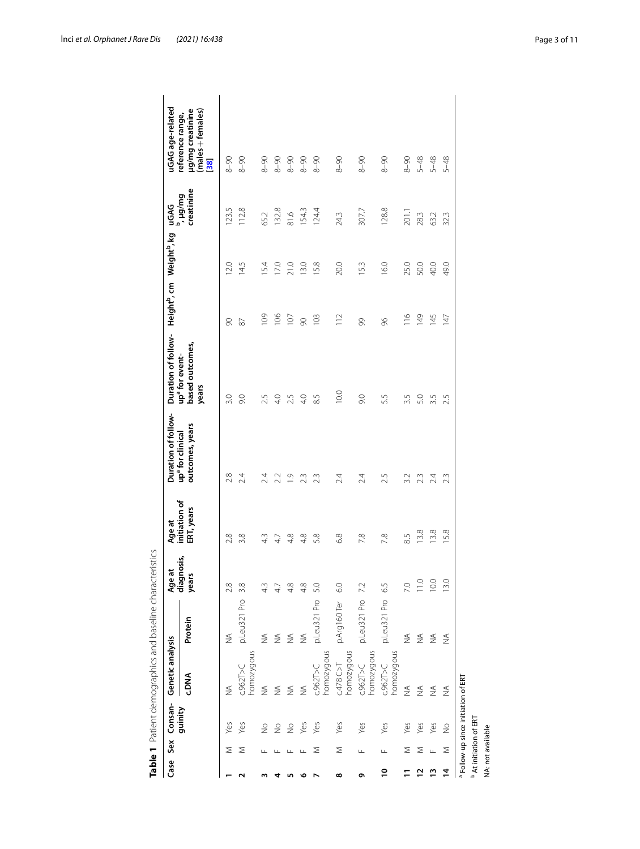| homozygous<br>C.962T > C<br><b>ANG.</b><br>₹<br>₹<br>₹<br>$\frac{4}{2}$<br>₹<br>guinity | p.Leu321 Pro<br>Protein<br>$\frac{1}{2}$<br>$\stackrel{\leq}{\geq}$ | diagnosis,                                   |                             |                                                 |                                                        |               | Height <sup>b</sup> , cm Weight <sup>b</sup> , kg |                                | uGAG age-related                                                |
|-----------------------------------------------------------------------------------------|---------------------------------------------------------------------|----------------------------------------------|-----------------------------|-------------------------------------------------|--------------------------------------------------------|---------------|---------------------------------------------------|--------------------------------|-----------------------------------------------------------------|
|                                                                                         |                                                                     | years                                        | initiation of<br>ERT, years | outcomes, years<br>up <sup>a</sup> for clinical | based outcomes,<br>up <sup>a</sup> for event-<br>years |               |                                                   | creatinine<br>uGAG<br>", µg/mg | µg/mg creatinine<br>(males + females)<br>reference range,<br>38 |
|                                                                                         |                                                                     | 2.8                                          | 2.8                         | 2.8                                             | 3.0                                                    | 8             | 2.0                                               | 5<br>123.                      | $8 - 90$                                                        |
|                                                                                         |                                                                     | 3.8                                          | 3.8                         | 2.4                                             | 0.6                                                    | 87            | 14.5                                              | 112.8                          | $8 - 90$                                                        |
|                                                                                         |                                                                     | 4.3                                          | 43                          | 24                                              | 2.5                                                    | $\frac{8}{2}$ | 5.4                                               | 65.2                           | $8 - 90$                                                        |
|                                                                                         | $\frac{4}{2}$                                                       | 47                                           | 47                          | 2.2                                             | 4.0                                                    | 106           | 17.0                                              | 132.8                          | $06 - 8$                                                        |
|                                                                                         | $\frac{4}{2}$                                                       | 4.8                                          | 4.8                         | Ο.                                              | 2.5                                                    | 107           | 21.0                                              | 81.6                           | $06 - 8$                                                        |
|                                                                                         | $\lessgtr$                                                          | 4.8                                          | 4.8                         | 23                                              | 4.0                                                    | $\infty$      | 13.0                                              | 154.3                          | $8 - 90$                                                        |
| homozygous<br>C.962T > C                                                                |                                                                     | 5.0                                          | 5.8                         | 23                                              | 8.5                                                    | 103           | 15.8                                              | 124.4                          | $8 - 90$                                                        |
| homozygous<br>C.478C > T                                                                | p.Arg160 Ter                                                        | 6.0                                          | 6.8                         | 24                                              | 0.01                                                   | 112           | 20.0                                              | 24.3                           | $8 - 90$                                                        |
| homozygous<br>C.962T > C                                                                |                                                                     | 7.2                                          | 7.8                         | 24                                              | 0.6                                                    | 8             | 15.3                                              | 307.7                          | $06 - 8$                                                        |
| homozygous<br>C.962T > C                                                                |                                                                     | 6.5                                          | 7.8                         | 2.5                                             | 5.5                                                    | 96            | 16.0                                              | 128.8                          | $06 - 8$                                                        |
| $\lessgtr$                                                                              | $\frac{4}{2}$                                                       | 7.0                                          | 85                          | 3.2                                             | 3.5                                                    | 116           | 25.0                                              | 201.1                          | $06 - 8$                                                        |
| ≸                                                                                       | $\lessgtr$                                                          | $\frac{0}{11}$                               | 13.8                        | 23                                              | 5.0                                                    | 149           | 50.0                                              | 28.3                           | 5-48                                                            |
| $\widetilde{\geq}$                                                                      | $\stackrel{\triangle}{\geq}$                                        | 10.0                                         | 13.8                        | 2.4                                             | 3.5                                                    | 145           | 40.0                                              | 63.2                           | $5 - 48$                                                        |
| $\lessgtr$                                                                              | $\stackrel{\triangle}{\geq}$                                        | 13.0                                         | 15.8                        | 23                                              | 2.5                                                    | 147           | 49.0                                              | 32.3                           | 5-48                                                            |
|                                                                                         | a Follow-up since initiation of ERT                                 | p.Leu321 Pro<br>p.Leu321 Pro<br>p.Leu321 Pro |                             |                                                 |                                                        |               |                                                   |                                |                                                                 |

İnci *et al. Orphanet J Rare Dis (2021) 16:438* Page 3 of 11

<span id="page-2-0"></span>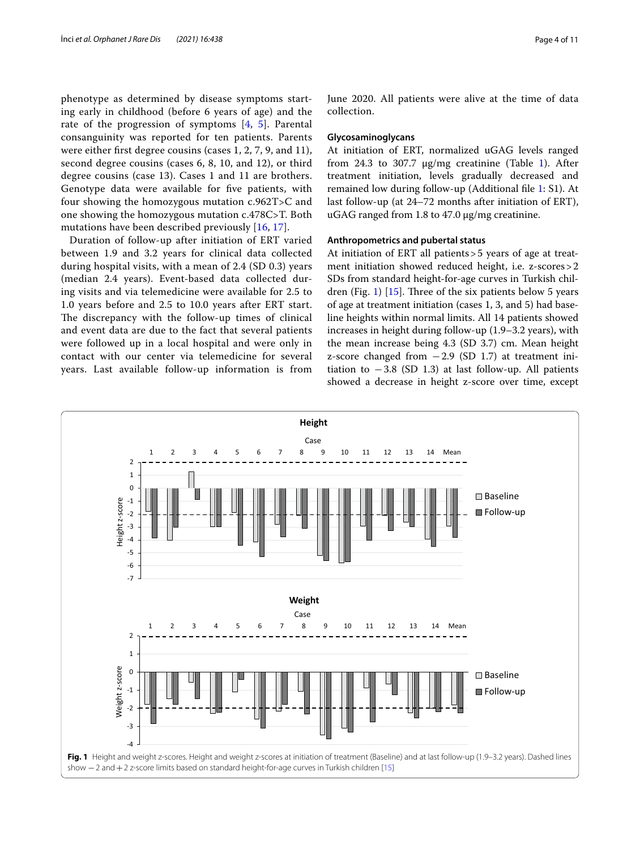phenotype as determined by disease symptoms starting early in childhood (before 6 years of age) and the rate of the progression of symptoms [[4](#page-9-3), [5](#page-9-4)]. Parental consanguinity was reported for ten patients. Parents were either frst degree cousins (cases 1, 2, 7, 9, and 11), second degree cousins (cases 6, 8, 10, and 12), or third degree cousins (case 13). Cases 1 and 11 are brothers. Genotype data were available for fve patients, with four showing the homozygous mutation c.962T>C and one showing the homozygous mutation c.478C>T. Both mutations have been described previously [[16](#page-9-12), [17](#page-9-13)].

Duration of follow-up after initiation of ERT varied between 1.9 and 3.2 years for clinical data collected during hospital visits, with a mean of 2.4 (SD 0.3) years (median 2.4 years). Event-based data collected during visits and via telemedicine were available for 2.5 to 1.0 years before and 2.5 to 10.0 years after ERT start. The discrepancy with the follow-up times of clinical and event data are due to the fact that several patients were followed up in a local hospital and were only in contact with our center via telemedicine for several years. Last available follow-up information is from June 2020. All patients were alive at the time of data collection.

#### **Glycosaminoglycans**

At initiation of ERT, normalized uGAG levels ranged from 24.3 to 307.7  $\mu$ g/mg creatinine (Table [1\)](#page-2-0). After treatment initiation, levels gradually decreased and remained low during follow-up (Additional fle [1:](#page-9-14) S1). At last follow-up (at 24–72 months after initiation of ERT), uGAG ranged from 1.8 to 47.0 µg/mg creatinine.

# **Anthropometrics and pubertal status**

At initiation of ERT all patients>5 years of age at treatment initiation showed reduced height, i.e. z-scores>2 SDs from standard height-for-age curves in Turkish chil-dren (Fig. [1](#page-3-0))  $[15]$  $[15]$ . Three of the six patients below 5 years of age at treatment initiation (cases 1, 3, and 5) had baseline heights within normal limits. All 14 patients showed increases in height during follow-up (1.9–3.2 years), with the mean increase being 4.3 (SD 3.7) cm. Mean height z-score changed from  $-2.9$  (SD 1.7) at treatment initiation to  $-3.8$  (SD 1.3) at last follow-up. All patients showed a decrease in height z-score over time, except

<span id="page-3-0"></span>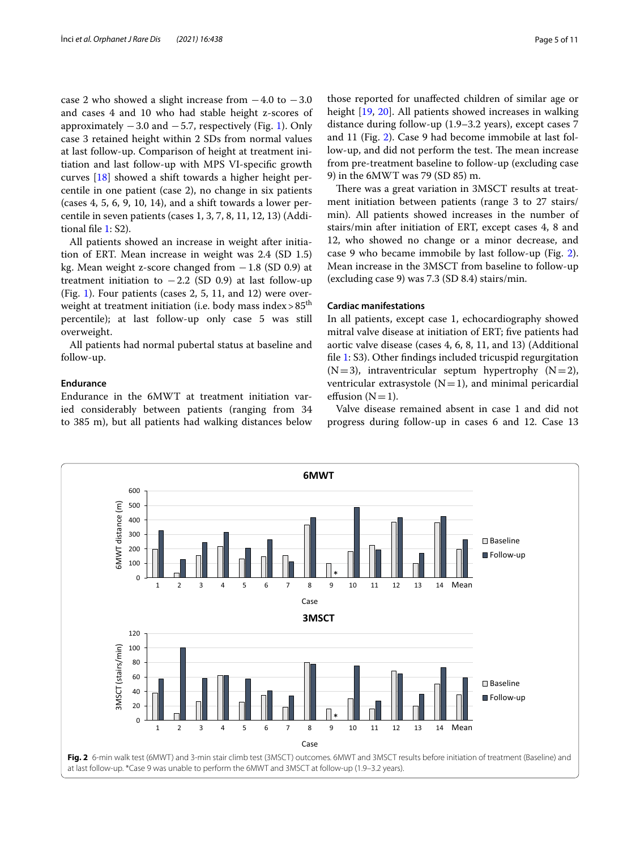case 2 who showed a slight increase from  $-4.0$  to  $-3.0$ and cases 4 and 10 who had stable height z-scores of approximately  $-3.0$  and  $-5.7$ , respectively (Fig. [1](#page-3-0)). Only case 3 retained height within 2 SDs from normal values at last follow-up. Comparison of height at treatment initiation and last follow-up with MPS VI-specifc growth curves [\[18\]](#page-9-15) showed a shift towards a higher height percentile in one patient (case 2), no change in six patients (cases 4, 5, 6, 9, 10, 14), and a shift towards a lower percentile in seven patients (cases 1, 3, 7, 8, 11, 12, 13) (Additional fle [1](#page-9-14): S2).

All patients showed an increase in weight after initiation of ERT. Mean increase in weight was 2.4 (SD 1.5) kg. Mean weight z-score changed from −1.8 (SD 0.9) at treatment initiation to  $-2.2$  (SD 0.9) at last follow-up (Fig. [1\)](#page-3-0). Four patients (cases 2, 5, 11, and 12) were overweight at treatment initiation (i.e. body mass index  $> 85$ <sup>th</sup> percentile); at last follow-up only case 5 was still overweight.

All patients had normal pubertal status at baseline and follow-up.

## **Endurance**

Endurance in the 6MWT at treatment initiation varied considerably between patients (ranging from 34 to 385 m), but all patients had walking distances below

those reported for unafected children of similar age or height [[19,](#page-10-1) [20\]](#page-10-2). All patients showed increases in walking distance during follow-up (1.9–3.2 years), except cases 7 and 11 (Fig. [2\)](#page-4-0). Case 9 had become immobile at last follow-up, and did not perform the test. The mean increase from pre-treatment baseline to follow-up (excluding case 9) in the 6MWT was 79 (SD 85) m.

There was a great variation in 3MSCT results at treatment initiation between patients (range 3 to 27 stairs/ min). All patients showed increases in the number of stairs/min after initiation of ERT, except cases 4, 8 and 12, who showed no change or a minor decrease, and case 9 who became immobile by last follow-up (Fig. [2](#page-4-0)). Mean increase in the 3MSCT from baseline to follow-up (excluding case 9) was 7.3 (SD 8.4) stairs/min.

# **Cardiac manifestations**

In all patients, except case 1, echocardiography showed mitral valve disease at initiation of ERT; fve patients had aortic valve disease (cases 4, 6, 8, 11, and 13) (Additional fle [1](#page-9-14): S3). Other fndings included tricuspid regurgitation  $(N=3)$ , intraventricular septum hypertrophy  $(N=2)$ , ventricular extrasystole  $(N=1)$ , and minimal pericardial effusion  $(N=1)$ .

Valve disease remained absent in case 1 and did not progress during follow-up in cases 6 and 12. Case 13

<span id="page-4-0"></span>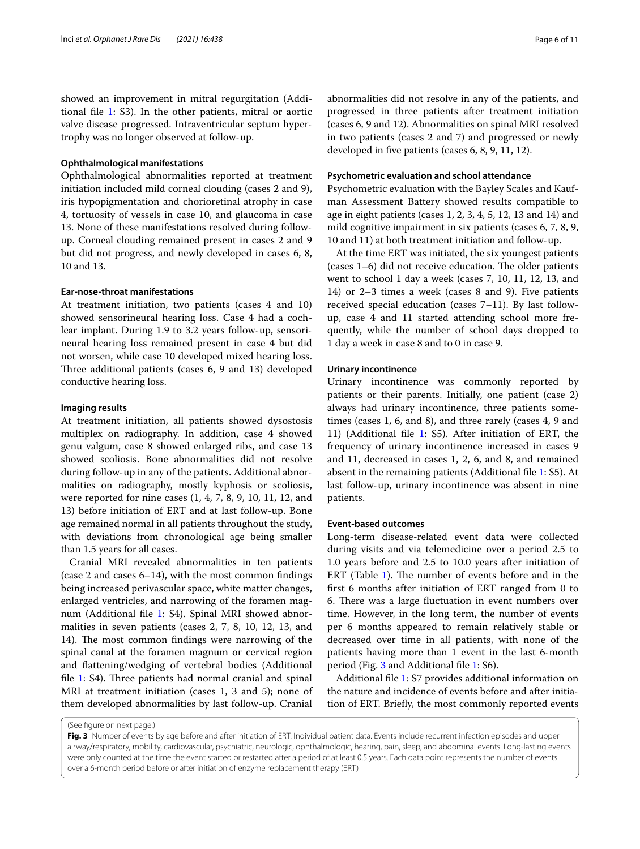showed an improvement in mitral regurgitation (Additional fle [1](#page-9-14): S3). In the other patients, mitral or aortic valve disease progressed. Intraventricular septum hypertrophy was no longer observed at follow-up.

#### **Ophthalmological manifestations**

Ophthalmological abnormalities reported at treatment initiation included mild corneal clouding (cases 2 and 9), iris hypopigmentation and chorioretinal atrophy in case 4, tortuosity of vessels in case 10, and glaucoma in case 13. None of these manifestations resolved during followup. Corneal clouding remained present in cases 2 and 9 but did not progress, and newly developed in cases 6, 8, 10 and 13.

# **Ear-nose-throat manifestations**

At treatment initiation, two patients (cases 4 and 10) showed sensorineural hearing loss. Case 4 had a cochlear implant. During 1.9 to 3.2 years follow-up, sensorineural hearing loss remained present in case 4 but did not worsen, while case 10 developed mixed hearing loss. Three additional patients (cases 6, 9 and 13) developed conductive hearing loss.

## **Imaging results**

At treatment initiation, all patients showed dysostosis multiplex on radiography. In addition, case 4 showed genu valgum, case 8 showed enlarged ribs, and case 13 showed scoliosis. Bone abnormalities did not resolve during follow-up in any of the patients. Additional abnormalities on radiography, mostly kyphosis or scoliosis, were reported for nine cases (1, 4, 7, 8, 9, 10, 11, 12, and 13) before initiation of ERT and at last follow-up. Bone age remained normal in all patients throughout the study, with deviations from chronological age being smaller than 1.5 years for all cases.

Cranial MRI revealed abnormalities in ten patients (case 2 and cases 6–14), with the most common fndings being increased perivascular space, white matter changes, enlarged ventricles, and narrowing of the foramen magnum (Additional fle [1](#page-9-14): S4). Spinal MRI showed abnormalities in seven patients (cases 2, 7, 8, 10, 12, 13, and 14). The most common findings were narrowing of the spinal canal at the foramen magnum or cervical region and fattening/wedging of vertebral bodies (Additional file  $1: S4$  $1: S4$ ). Three patients had normal cranial and spinal MRI at treatment initiation (cases 1, 3 and 5); none of them developed abnormalities by last follow-up. Cranial

abnormalities did not resolve in any of the patients, and progressed in three patients after treatment initiation (cases 6, 9 and 12). Abnormalities on spinal MRI resolved in two patients (cases 2 and 7) and progressed or newly developed in fve patients (cases 6, 8, 9, 11, 12).

#### **Psychometric evaluation and school attendance**

Psychometric evaluation with the Bayley Scales and Kaufman Assessment Battery showed results compatible to age in eight patients (cases 1, 2, 3, 4, 5, 12, 13 and 14) and mild cognitive impairment in six patients (cases 6, 7, 8, 9, 10 and 11) at both treatment initiation and follow-up.

At the time ERT was initiated, the six youngest patients  $(\text{cases } 1-6)$  did not receive education. The older patients went to school 1 day a week (cases 7, 10, 11, 12, 13, and 14) or 2–3 times a week (cases 8 and 9). Five patients received special education (cases 7–11). By last followup, case 4 and 11 started attending school more frequently, while the number of school days dropped to 1 day a week in case 8 and to 0 in case 9.

## **Urinary incontinence**

Urinary incontinence was commonly reported by patients or their parents. Initially, one patient (case 2) always had urinary incontinence, three patients sometimes (cases 1, 6, and 8), and three rarely (cases 4, 9 and 11) (Additional fle [1](#page-9-14): S5). After initiation of ERT, the frequency of urinary incontinence increased in cases 9 and 11, decreased in cases 1, 2, 6, and 8, and remained absent in the remaining patients (Additional fle [1:](#page-9-14) S5). At last follow-up, urinary incontinence was absent in nine patients.

#### **Event-based outcomes**

Long-term disease-related event data were collected during visits and via telemedicine over a period 2.5 to 1.0 years before and 2.5 to 10.0 years after initiation of ERT (Table  $1$ ). The number of events before and in the frst 6 months after initiation of ERT ranged from 0 to 6. There was a large fluctuation in event numbers over time. However, in the long term, the number of events per 6 months appeared to remain relatively stable or decreased over time in all patients, with none of the patients having more than 1 event in the last 6-month period (Fig. [3](#page-5-0) and Additional fle [1](#page-9-14): S6).

Additional fle [1](#page-9-14): S7 provides additional information on the nature and incidence of events before and after initiation of ERT. Briefy, the most commonly reported events

(See fgure on next page.)

<span id="page-5-0"></span>**Fig. 3** Number of events by age before and after initiation of ERT. Individual patient data. Events include recurrent infection episodes and upper airway/respiratory, mobility, cardiovascular, psychiatric, neurologic, ophthalmologic, hearing, pain, sleep, and abdominal events. Long-lasting events were only counted at the time the event started or restarted after a period of at least 0.5 years. Each data point represents the number of events over a 6-month period before or after initiation of enzyme replacement therapy (ERT)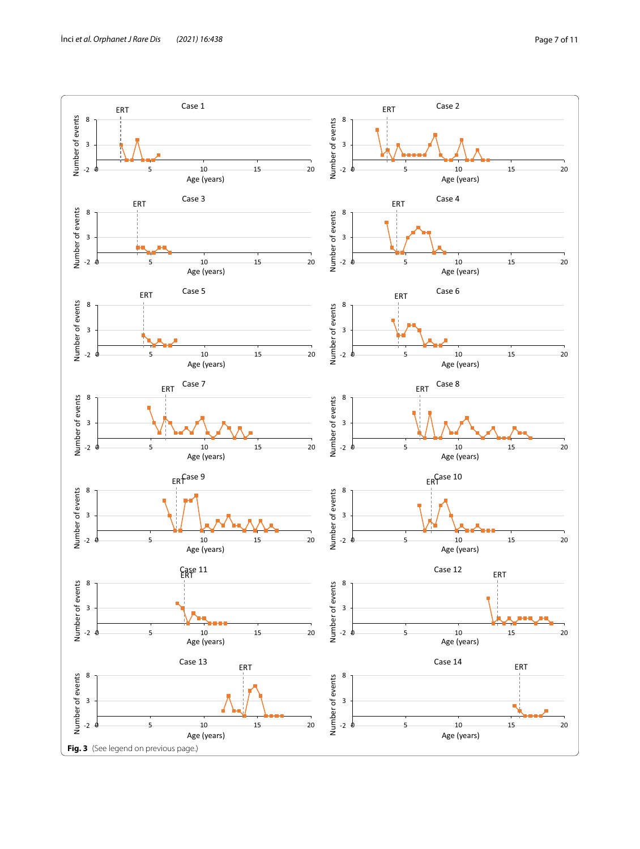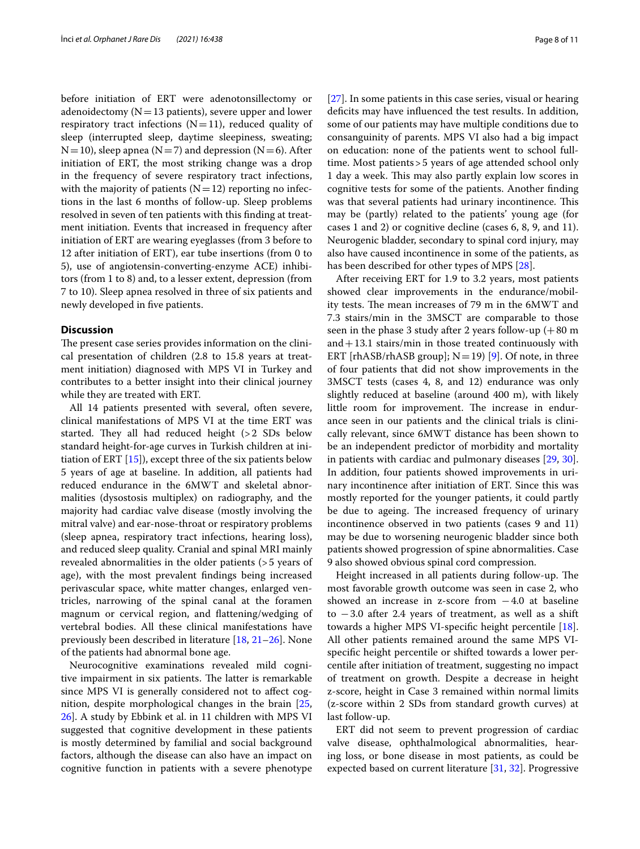before initiation of ERT were adenotonsillectomy or adenoidectomy ( $N=13$  patients), severe upper and lower respiratory tract infections  $(N=11)$ , reduced quality of sleep (interrupted sleep, daytime sleepiness, sweating;  $N=10$ ), sleep apnea (N=7) and depression (N=6). After initiation of ERT, the most striking change was a drop in the frequency of severe respiratory tract infections, with the majority of patients  $(N=12)$  reporting no infections in the last 6 months of follow-up. Sleep problems resolved in seven of ten patients with this fnding at treatment initiation. Events that increased in frequency after initiation of ERT are wearing eyeglasses (from 3 before to 12 after initiation of ERT), ear tube insertions (from 0 to 5), use of angiotensin-converting-enzyme ACE) inhibitors (from 1 to 8) and, to a lesser extent, depression (from 7 to 10). Sleep apnea resolved in three of six patients and newly developed in fve patients.

#### **Discussion**

The present case series provides information on the clinical presentation of children (2.8 to 15.8 years at treatment initiation) diagnosed with MPS VI in Turkey and contributes to a better insight into their clinical journey while they are treated with ERT.

All 14 patients presented with several, often severe, clinical manifestations of MPS VI at the time ERT was started. They all had reduced height  $(>2$  SDs below standard height-for-age curves in Turkish children at initiation of ERT [\[15](#page-9-11)]), except three of the six patients below 5 years of age at baseline. In addition, all patients had reduced endurance in the 6MWT and skeletal abnormalities (dysostosis multiplex) on radiography, and the majority had cardiac valve disease (mostly involving the mitral valve) and ear-nose-throat or respiratory problems (sleep apnea, respiratory tract infections, hearing loss), and reduced sleep quality. Cranial and spinal MRI mainly revealed abnormalities in the older patients (>5 years of age), with the most prevalent fndings being increased perivascular space, white matter changes, enlarged ventricles, narrowing of the spinal canal at the foramen magnum or cervical region, and fattening/wedging of vertebral bodies. All these clinical manifestations have previously been described in literature [[18,](#page-9-15) [21](#page-10-3)[–26](#page-10-4)]. None of the patients had abnormal bone age.

Neurocognitive examinations revealed mild cognitive impairment in six patients. The latter is remarkable since MPS VI is generally considered not to afect cognition, despite morphological changes in the brain [\[25](#page-10-5), [26\]](#page-10-4). A study by Ebbink et al. in 11 children with MPS VI suggested that cognitive development in these patients is mostly determined by familial and social background factors, although the disease can also have an impact on cognitive function in patients with a severe phenotype [[27\]](#page-10-6). In some patients in this case series, visual or hearing deficits may have influenced the test results. In addition, some of our patients may have multiple conditions due to consanguinity of parents. MPS VI also had a big impact on education: none of the patients went to school fulltime. Most patients>5 years of age attended school only 1 day a week. This may also partly explain low scores in cognitive tests for some of the patients. Another fnding was that several patients had urinary incontinence. This may be (partly) related to the patients' young age (for cases 1 and 2) or cognitive decline (cases 6, 8, 9, and 11). Neurogenic bladder, secondary to spinal cord injury, may also have caused incontinence in some of the patients, as has been described for other types of MPS [[28\]](#page-10-7).

After receiving ERT for 1.9 to 3.2 years, most patients showed clear improvements in the endurance/mobility tests. The mean increases of 79 m in the 6MWT and 7.3 stairs/min in the 3MSCT are comparable to those seen in the phase 3 study after 2 years follow-up  $(+80 \text{ m})$ and  $+13.1$  stairs/min in those treated continuously with ERT [rhASB/rhASB group];  $N=19$  [\[9](#page-9-8)]. Of note, in three of four patients that did not show improvements in the 3MSCT tests (cases 4, 8, and 12) endurance was only slightly reduced at baseline (around 400 m), with likely little room for improvement. The increase in endurance seen in our patients and the clinical trials is clinically relevant, since 6MWT distance has been shown to be an independent predictor of morbidity and mortality in patients with cardiac and pulmonary diseases [[29](#page-10-8), [30](#page-10-9)]. In addition, four patients showed improvements in urinary incontinence after initiation of ERT. Since this was mostly reported for the younger patients, it could partly be due to ageing. The increased frequency of urinary incontinence observed in two patients (cases 9 and 11) may be due to worsening neurogenic bladder since both patients showed progression of spine abnormalities. Case 9 also showed obvious spinal cord compression.

Height increased in all patients during follow-up. The most favorable growth outcome was seen in case 2, who showed an increase in z-score from  $-4.0$  at baseline to  $-3.0$  after 2.4 years of treatment, as well as a shift towards a higher MPS VI-specifc height percentile [\[18](#page-9-15)]. All other patients remained around the same MPS VIspecifc height percentile or shifted towards a lower percentile after initiation of treatment, suggesting no impact of treatment on growth. Despite a decrease in height z-score, height in Case 3 remained within normal limits (z-score within 2 SDs from standard growth curves) at last follow-up.

ERT did not seem to prevent progression of cardiac valve disease, ophthalmological abnormalities, hearing loss, or bone disease in most patients, as could be expected based on current literature [\[31](#page-10-10), [32\]](#page-10-11). Progressive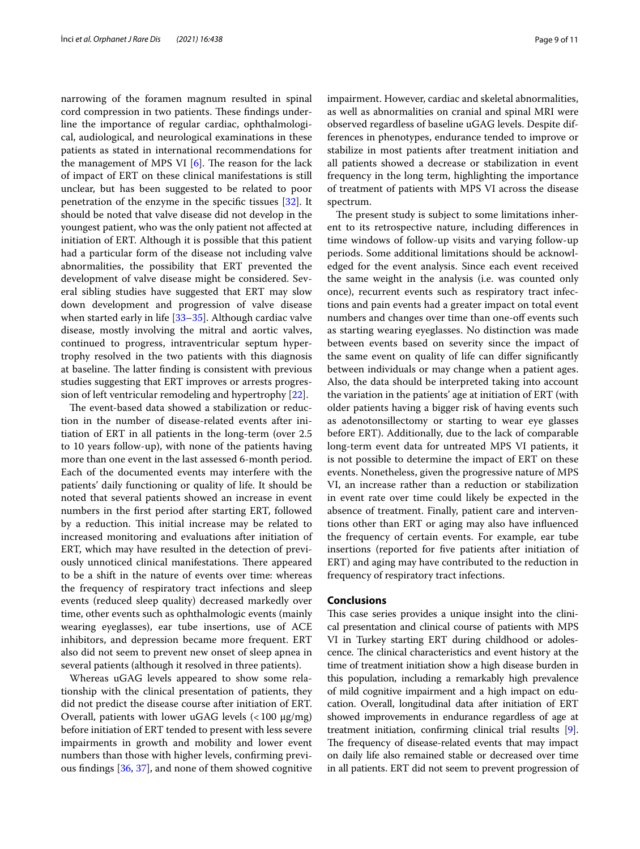narrowing of the foramen magnum resulted in spinal cord compression in two patients. These findings underline the importance of regular cardiac, ophthalmological, audiological, and neurological examinations in these patients as stated in international recommendations for the management of MPS VI  $[6]$  $[6]$ . The reason for the lack of impact of ERT on these clinical manifestations is still unclear, but has been suggested to be related to poor penetration of the enzyme in the specifc tissues [[32\]](#page-10-11). It should be noted that valve disease did not develop in the youngest patient, who was the only patient not afected at initiation of ERT. Although it is possible that this patient had a particular form of the disease not including valve abnormalities, the possibility that ERT prevented the development of valve disease might be considered. Several sibling studies have suggested that ERT may slow down development and progression of valve disease when started early in life [\[33](#page-10-12)–[35\]](#page-10-13). Although cardiac valve disease, mostly involving the mitral and aortic valves, continued to progress, intraventricular septum hypertrophy resolved in the two patients with this diagnosis at baseline. The latter finding is consistent with previous studies suggesting that ERT improves or arrests progression of left ventricular remodeling and hypertrophy [[22\]](#page-10-14).

The event-based data showed a stabilization or reduction in the number of disease-related events after initiation of ERT in all patients in the long-term (over 2.5 to 10 years follow-up), with none of the patients having more than one event in the last assessed 6-month period. Each of the documented events may interfere with the patients' daily functioning or quality of life. It should be noted that several patients showed an increase in event numbers in the frst period after starting ERT, followed by a reduction. This initial increase may be related to increased monitoring and evaluations after initiation of ERT, which may have resulted in the detection of previously unnoticed clinical manifestations. There appeared to be a shift in the nature of events over time: whereas the frequency of respiratory tract infections and sleep events (reduced sleep quality) decreased markedly over time, other events such as ophthalmologic events (mainly wearing eyeglasses), ear tube insertions, use of ACE inhibitors, and depression became more frequent. ERT also did not seem to prevent new onset of sleep apnea in several patients (although it resolved in three patients).

Whereas uGAG levels appeared to show some relationship with the clinical presentation of patients, they did not predict the disease course after initiation of ERT. Overall, patients with lower uGAG levels  $\left($  < 100  $\mu$ g/mg) before initiation of ERT tended to present with less severe impairments in growth and mobility and lower event numbers than those with higher levels, confrming previous fndings [\[36,](#page-10-15) [37](#page-10-16)], and none of them showed cognitive impairment. However, cardiac and skeletal abnormalities, as well as abnormalities on cranial and spinal MRI were observed regardless of baseline uGAG levels. Despite differences in phenotypes, endurance tended to improve or stabilize in most patients after treatment initiation and all patients showed a decrease or stabilization in event frequency in the long term, highlighting the importance of treatment of patients with MPS VI across the disease spectrum.

The present study is subject to some limitations inherent to its retrospective nature, including diferences in time windows of follow-up visits and varying follow-up periods. Some additional limitations should be acknowledged for the event analysis. Since each event received the same weight in the analysis (i.e. was counted only once), recurrent events such as respiratory tract infections and pain events had a greater impact on total event numbers and changes over time than one-off events such as starting wearing eyeglasses. No distinction was made between events based on severity since the impact of the same event on quality of life can difer signifcantly between individuals or may change when a patient ages. Also, the data should be interpreted taking into account the variation in the patients' age at initiation of ERT (with older patients having a bigger risk of having events such as adenotonsillectomy or starting to wear eye glasses before ERT). Additionally, due to the lack of comparable long-term event data for untreated MPS VI patients, it is not possible to determine the impact of ERT on these events. Nonetheless, given the progressive nature of MPS VI, an increase rather than a reduction or stabilization in event rate over time could likely be expected in the absence of treatment. Finally, patient care and interventions other than ERT or aging may also have infuenced the frequency of certain events. For example, ear tube insertions (reported for fve patients after initiation of ERT) and aging may have contributed to the reduction in frequency of respiratory tract infections.

# **Conclusions**

This case series provides a unique insight into the clinical presentation and clinical course of patients with MPS VI in Turkey starting ERT during childhood or adolescence. The clinical characteristics and event history at the time of treatment initiation show a high disease burden in this population, including a remarkably high prevalence of mild cognitive impairment and a high impact on education. Overall, longitudinal data after initiation of ERT showed improvements in endurance regardless of age at treatment initiation, confrming clinical trial results [[9](#page-9-8)]. The frequency of disease-related events that may impact on daily life also remained stable or decreased over time in all patients. ERT did not seem to prevent progression of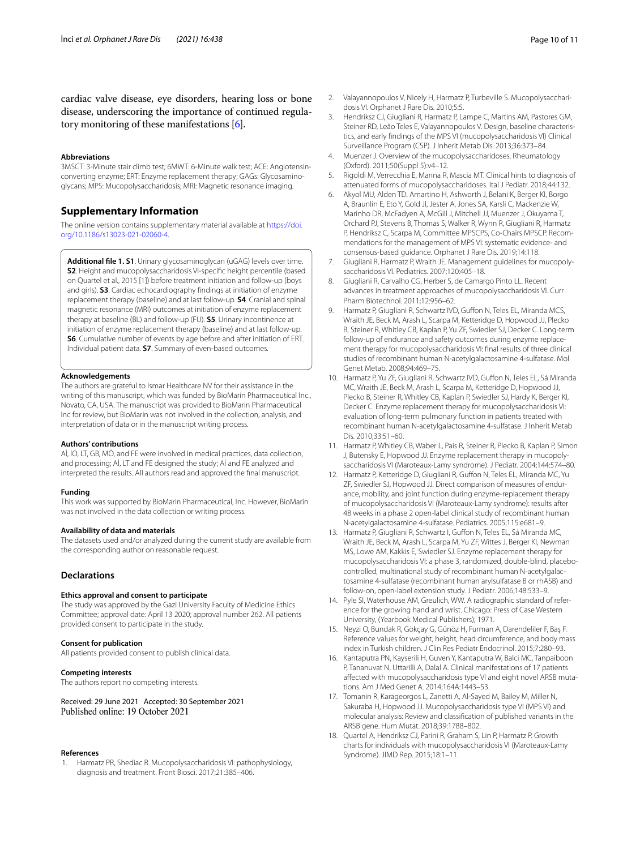cardiac valve disease, eye disorders, hearing loss or bone disease, underscoring the importance of continued regulatory monitoring of these manifestations [[6](#page-9-5)].

#### **Abbreviations**

3MSCT: 3-Minute stair climb test; 6MWT: 6-Minute walk test; ACE: Angiotensinconverting enzyme; ERT: Enzyme replacement therapy; GAGs: Glycosaminoglycans; MPS: Mucopolysaccharidosis; MRI: Magnetic resonance imaging.

## **Supplementary Information**

The online version contains supplementary material available at [https://doi.](https://doi.org/10.1186/s13023-021-02060-4) [org/10.1186/s13023-021-02060-4](https://doi.org/10.1186/s13023-021-02060-4).

<span id="page-9-14"></span>**Additional fle 1. S1**. Urinary glycosaminoglycan (uGAG) levels over time. **S2**. Height and mucopolysaccharidosis VI-specifc height percentile (based on Quartel et al., 2015 [1]) before treatment initiation and follow-up (boys and girls). **S3**. Cardiac echocardiography fndings at initiation of enzyme replacement therapy (baseline) and at last follow-up. **S4**. Cranial and spinal magnetic resonance (MRI) outcomes at initiation of enzyme replacement therapy at baseline (BL) and follow-up (FU). **S5**. Urinary incontinence at initiation of enzyme replacement therapy (baseline) and at last follow-up. **S6**. Cumulative number of events by age before and after initiation of ERT. Individual patient data. **S7**. Summary of even-based outcomes.

#### **Acknowledgements**

The authors are grateful to Ismar Healthcare NV for their assistance in the writing of this manuscript, which was funded by BioMarin Pharmaceutical Inc., Novato, CA, USA. The manuscript was provided to BioMarin Pharmaceutical Inc for review, but BioMarin was not involved in the collection, analysis, and interpretation of data or in the manuscript writing process.

# **Authors' contributions**

Aİ, İO, LT, GB, MÖ, and FE were involved in medical practices, data collection, and processing; Aİ, LT and FE designed the study; Aİ and FE analyzed and interpreted the results. All authors read and approved the fnal manuscript.

#### **Funding**

This work was supported by BioMarin Pharmaceutical, Inc. However, BioMarin was not involved in the data collection or writing process.

#### **Availability of data and materials**

The datasets used and/or analyzed during the current study are available from the corresponding author on reasonable request.

## **Declarations**

#### **Ethics approval and consent to participate**

The study was approved by the Gazi University Faculty of Medicine Ethics Committee; approval date: April 13 2020; approval number 262. All patients provided consent to participate in the study.

#### **Consent for publication**

All patients provided consent to publish clinical data.

#### **Competing interests**

The authors report no competing interests.

Received: 29 June 2021 Accepted: 30 September 2021

#### **References**

<span id="page-9-0"></span>1. Harmatz PR, Shediac R. Mucopolysaccharidosis VI: pathophysiology, diagnosis and treatment. Front Biosci. 2017;21:385–406.

- <span id="page-9-1"></span>2. Valayannopoulos V, Nicely H, Harmatz P, Turbeville S. Mucopolysaccharidosis VI. Orphanet J Rare Dis. 2010;5:5.
- <span id="page-9-2"></span>3. Hendriksz CJ, Giugliani R, Harmatz P, Lampe C, Martins AM, Pastores GM, Steiner RD, Leão Teles E, Valayannopoulos V. Design, baseline characteristics, and early fndings of the MPS VI (mucopolysaccharidosis VI) Clinical Surveillance Program (CSP). J Inherit Metab Dis. 2013;36:373–84.
- <span id="page-9-3"></span>4. Muenzer J. Overview of the mucopolysaccharidoses. Rheumatology (Oxford). 2011;50(Suppl 5):v4–12.
- <span id="page-9-4"></span>5. Rigoldi M, Verrecchia E, Manna R, Mascia MT. Clinical hints to diagnosis of attenuated forms of mucopolysaccharidoses. Ital J Pediatr. 2018;44:132.
- <span id="page-9-5"></span>6. Akyol MU, Alden TD, Amartino H, Ashworth J, Belani K, Berger KI, Borgo A, Braunlin E, Eto Y, Gold JI, Jester A, Jones SA, Karsli C, Mackenzie W, Marinho DR, McFadyen A, McGill J, Mitchell JJ, Muenzer J, Okuyama T, Orchard PJ, Stevens B, Thomas S, Walker R, Wynn R, Giugliani R, Harmatz P, Hendriksz C, Scarpa M, Committee MPSCPS, Co-Chairs MPSCP. Recommendations for the management of MPS VI: systematic evidence- and consensus-based guidance. Orphanet J Rare Dis. 2019;14:118.
- <span id="page-9-6"></span>7. Giugliani R, Harmatz P, Wraith JE. Management guidelines for mucopolysaccharidosis VI. Pediatrics. 2007;120:405–18.
- <span id="page-9-7"></span>8. Giugliani R, Carvalho CG, Herber S, de Camargo Pinto LL. Recent advances in treatment approaches of mucopolysaccharidosis VI. Curr Pharm Biotechnol. 2011;12:956–62.
- <span id="page-9-8"></span>Harmatz P, Giugliani R, Schwartz IVD, Guffon N, Teles EL, Miranda MCS, Wraith JE, Beck M, Arash L, Scarpa M, Ketteridge D, Hopwood JJ, Plecko B, Steiner R, Whitley CB, Kaplan P, Yu ZF, Swiedler SJ, Decker C. Long-term follow-up of endurance and safety outcomes during enzyme replacement therapy for mucopolysaccharidosis VI: fnal results of three clinical studies of recombinant human N-acetylgalactosamine 4-sulfatase. Mol Genet Metab. 2008;94:469–75.
- 10. Harmatz P, Yu ZF, Giugliani R, Schwartz IVD, Guffon N, Teles EL, Sá Miranda MC, Wraith JE, Beck M, Arash L, Scarpa M, Ketteridge D, Hopwood JJ, Plecko B, Steiner R, Whitley CB, Kaplan P, Swiedler SJ, Hardy K, Berger KI, Decker C. Enzyme replacement therapy for mucopolysaccharidosis VI: evaluation of long-term pulmonary function in patients treated with recombinant human N-acetylgalactosamine 4-sulfatase. J Inherit Metab Dis. 2010;33:51–60.
- 11. Harmatz P, Whitley CB, Waber L, Pais R, Steiner R, Plecko B, Kaplan P, Simon J, Butensky E, Hopwood JJ. Enzyme replacement therapy in mucopolysaccharidosis VI (Maroteaux-Lamy syndrome). J Pediatr. 2004;144:574–80.
- 12. Harmatz P, Ketteridge D, Giugliani R, Guffon N, Teles EL, Miranda MC, Yu ZF, Swiedler SJ, Hopwood JJ. Direct comparison of measures of endurance, mobility, and joint function during enzyme-replacement therapy of mucopolysaccharidosis VI (Maroteaux-Lamy syndrome): results after 48 weeks in a phase 2 open-label clinical study of recombinant human N-acetylgalactosamine 4-sulfatase. Pediatrics. 2005;115:e681–9.
- <span id="page-9-9"></span>13. Harmatz P, Giugliani R, Schwartz I, Gufon N, Teles EL, Sá Miranda MC, Wraith JE, Beck M, Arash L, Scarpa M, Yu ZF, Wittes J, Berger KI, Newman MS, Lowe AM, Kakkis E, Swiedler SJ. Enzyme replacement therapy for mucopolysaccharidosis VI: a phase 3, randomized, double-blind, placebocontrolled, multinational study of recombinant human N-acetylgalactosamine 4-sulfatase (recombinant human arylsulfatase B or rhASB) and follow-on, open-label extension study. J Pediatr. 2006;148:533–9.
- <span id="page-9-10"></span>14. Pyle SI, Waterhouse AM, Greulich, WW. A radiographic standard of reference for the growing hand and wrist. Chicago: Press of Case Western University, (Yearbook Medical Publishers); 1971.
- <span id="page-9-11"></span>15. Neyzi O, Bundak R, Gökçay G, Günöz H, Furman A, Darendeliler F, Baş F. Reference values for weight, height, head circumference, and body mass index in Turkish children. J Clin Res Pediatr Endocrinol. 2015;7:280–93.
- <span id="page-9-12"></span>16. Kantaputra PN, Kayserili H, Guven Y, Kantaputra W, Balci MC, Tanpaiboon P, Tananuvat N, Uttarilli A, Dalal A. Clinical manifestations of 17 patients afected with mucopolysaccharidosis type VI and eight novel ARSB mutations. Am J Med Genet A. 2014;164A:1443–53.
- <span id="page-9-13"></span>17. Tomanin R, Karageorgos L, Zanetti A, Al-Sayed M, Bailey M, Miller N, Sakuraba H, Hopwood JJ. Mucopolysaccharidosis type VI (MPS VI) and molecular analysis: Review and classifcation of published variants in the ARSB gene. Hum Mutat. 2018;39:1788–802.
- <span id="page-9-15"></span>18. Quartel A, Hendriksz CJ, Parini R, Graham S, Lin P, Harmatz P. Growth charts for individuals with mucopolysaccharidosis VI (Maroteaux-Lamy Syndrome). JIMD Rep. 2015;18:1–11.